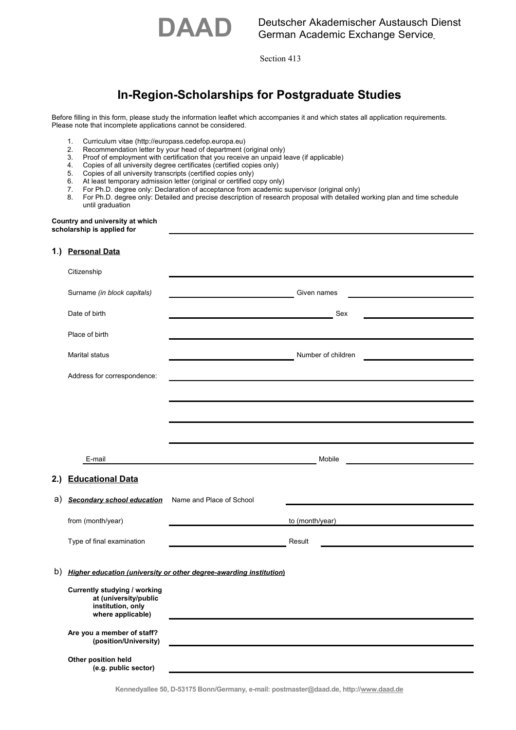

Section 413

# **In-Region-Scholarships for Postgraduate Studies**

Before filling in this form, please study the information leaflet which accompanies it and which states all application requirements. Please note that incomplete applications cannot be considered.

- 1. Curriculum vitae (http://europass.cedefop.europa.eu)
- 2. Recommendation letter by your head of department (original only)<br>3. Proof of employment with certification that you receive an unpaid li
- 3. Proof of employment with certification that you receive an unpaid leave (if applicable)<br>4. Copies of all university degree certificates (certified copies only)
- 4. Copies of all university degree certificates (certified copies only)<br>5. Copies of all university transcripts (certified copies only)
- Copies of all university transcripts (certified copies only)
- 6. At least temporary admission letter (original or certified copy only)
- 7. For Ph.D. degree only: Declaration of acceptance from academic supervisor (original only)<br>8. For Ph.D. degree only: Detailed and precise description of research proposal with detailed
- 8. For Ph.D. degree only: Detailed and precise description of research proposal with detailed working plan and time schedule until graduation

#### **Country and university at which scholarship is applied for**

#### **1**.**) Personal Data**

|    | Citizenship                                                                                     |                                                           |                                                             |  |  |  |
|----|-------------------------------------------------------------------------------------------------|-----------------------------------------------------------|-------------------------------------------------------------|--|--|--|
|    | Surname (in block capitals)                                                                     |                                                           | Given names                                                 |  |  |  |
|    | Date of birth                                                                                   |                                                           | Sex<br><u> 1980 - Johann Barbara, martx</u>                 |  |  |  |
|    | Place of birth                                                                                  |                                                           |                                                             |  |  |  |
|    | <b>Marital status</b>                                                                           |                                                           | Number of children                                          |  |  |  |
|    | Address for correspondence:                                                                     |                                                           |                                                             |  |  |  |
|    |                                                                                                 |                                                           |                                                             |  |  |  |
|    |                                                                                                 |                                                           |                                                             |  |  |  |
|    |                                                                                                 |                                                           |                                                             |  |  |  |
|    | E-mail                                                                                          | <u> 1989 - Johann John Stone, mensk politik (d. 1989)</u> | Mobile<br><u> 1989 - Johann Barbara, martxa alemaniar a</u> |  |  |  |
|    | 2.) Educational Data                                                                            |                                                           |                                                             |  |  |  |
| a) | <b>Secondary school education</b>                                                               | Name and Place of School                                  |                                                             |  |  |  |
|    | from (month/year)                                                                               |                                                           | to (month/year)                                             |  |  |  |
|    | Type of final examination                                                                       |                                                           | Result                                                      |  |  |  |
|    |                                                                                                 |                                                           |                                                             |  |  |  |
| b) | Higher education (university or other degree-awarding institution)                              |                                                           |                                                             |  |  |  |
|    | Currently studying / working<br>at (university/public<br>institution, only<br>where applicable) |                                                           |                                                             |  |  |  |
|    | Are you a member of staff?<br>(position/University)                                             |                                                           |                                                             |  |  |  |
|    | Other position held<br>(e.g. public sector)                                                     |                                                           |                                                             |  |  |  |

**Kennedyallee 50, D-53175 Bonn/Germany, e-mail: postmaster@daad.de, http://www.daad.de**